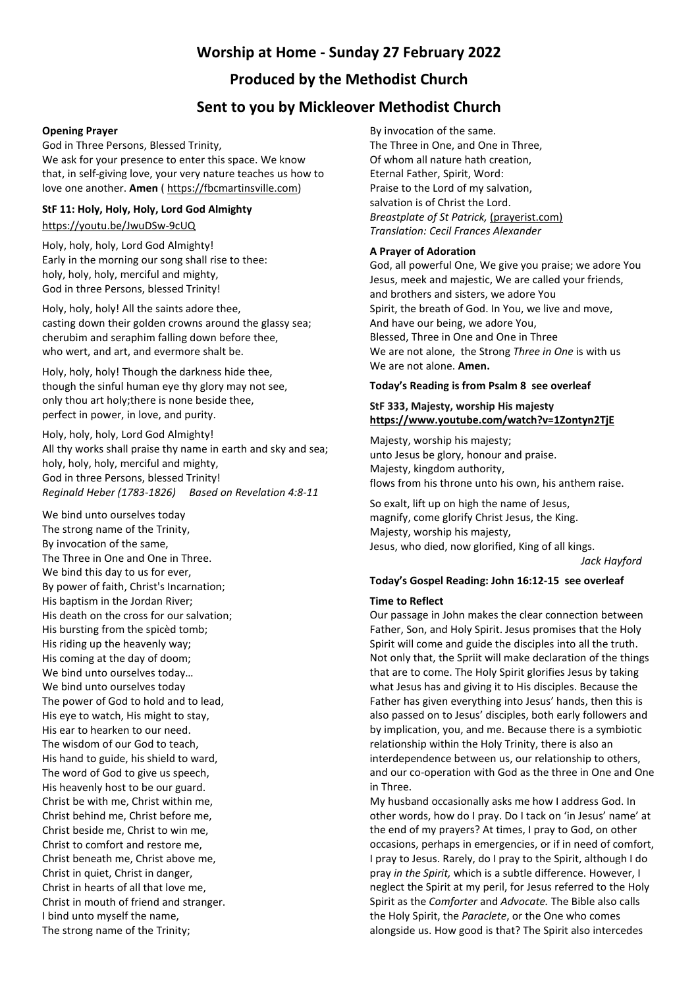# **Worship at Home - Sunday 27 February 2022**

# **Produced by the Methodist Church**

# **Sent to you by Mickleover Methodist Church**

### **Opening Prayer**

God in Three Persons, Blessed Trinity, We ask for your presence to enter this space. We know that, in self-giving love, your very nature teaches us how to love one another. **Amen** ( [https://fbcmartinsville.com\)](https://fbcmartinsville.com/)

# **StF 11: Holy, Holy, Holy, Lord God Almighty**

<https://youtu.be/JwuDSw-9cUQ>

Holy, holy, holy, Lord God Almighty! Early in the morning our song shall rise to thee: holy, holy, holy, merciful and mighty, God in three Persons, blessed Trinity!

Holy, holy, holy! All the saints adore thee, casting down their golden crowns around the glassy sea; cherubim and seraphim falling down before thee, who wert, and art, and evermore shalt be.

Holy, holy, holy! Though the darkness hide thee, though the sinful human eye thy glory may not see, only thou art holy;there is none beside thee, perfect in power, in love, and purity.

Holy, holy, holy, Lord God Almighty! All thy works shall praise thy name in earth and sky and sea; holy, holy, holy, merciful and mighty, God in three Persons, blessed Trinity! *Reginald Heber (1783-1826) Based on Revelation 4:8-11*

We bind unto ourselves today The strong name of the Trinity, By invocation of the same, The Three in One and One in Three. We bind this day to us for ever, By power of faith, Christ's Incarnation; His baptism in the Jordan River; His death on the cross for our salvation; His bursting from the spicèd tomb; His riding up the heavenly way; His coming at the day of doom; We bind unto ourselves today… We bind unto ourselves today The power of God to hold and to lead, His eye to watch, His might to stay, His ear to hearken to our need. The wisdom of our God to teach, His hand to guide, his shield to ward, The word of God to give us speech, His heavenly host to be our guard. Christ be with me, Christ within me, Christ behind me, Christ before me, Christ beside me, Christ to win me, Christ to comfort and restore me, Christ beneath me, Christ above me, Christ in quiet, Christ in danger, Christ in hearts of all that love me, Christ in mouth of friend and stranger. I bind unto myself the name, The strong name of the Trinity;

By invocation of the same. The Three in One, and One in Three, Of whom all nature hath creation, Eternal Father, Spirit, Word: Praise to the Lord of my salvation, salvation is of Christ the Lord. *Breastplate of St Patrick,* [\(prayerist.com\)](https://prayerist.com/trinityprayers) *Translation: Cecil Frances Alexander*

# **A Prayer of Adoration**

God, all powerful One, We give you praise; we adore You Jesus, meek and majestic, We are called your friends, and brothers and sisters, we adore You Spirit, the breath of God. In You, we live and move, And have our being, we adore You, Blessed, Three in One and One in Three We are not alone, the Strong *Three in One* is with us We are not alone. **Amen.**

# **Today's Reading is from Psalm 8 see overleaf**

# **StF 333, Majesty, worship His majesty <https://www.youtube.com/watch?v=1Zontyn2TjE>**

Majesty, worship his majesty; unto Jesus be glory, honour and praise. Majesty, kingdom authority, flows from his throne unto his own, his anthem raise.

So exalt, lift up on high the name of Jesus, magnify, come glorify Christ Jesus, the King. Majesty, worship his majesty, Jesus, who died, now glorified, King of all kings.

*Jack Hayford*

# **Today's Gospel Reading: John 16:12-15 see overleaf**

#### **Time to Reflect**

Our passage in John makes the clear connection between Father, Son, and Holy Spirit. Jesus promises that the Holy Spirit will come and guide the disciples into all the truth. Not only that, the Spriit will make declaration of the things that are to come. The Holy Spirit glorifies Jesus by taking what Jesus has and giving it to His disciples. Because the Father has given everything into Jesus' hands, then this is also passed on to Jesus' disciples, both early followers and by implication, you, and me. Because there is a symbiotic relationship within the Holy Trinity, there is also an interdependence between us, our relationship to others, and our co-operation with God as the three in One and One in Three.

My husband occasionally asks me how I address God. In other words, how do I pray. Do I tack on 'in Jesus' name' at the end of my prayers? At times, I pray to God, on other occasions, perhaps in emergencies, or if in need of comfort, I pray to Jesus. Rarely, do I pray to the Spirit, although I do pray *in the Spirit,* which is a subtle difference. However, I neglect the Spirit at my peril, for Jesus referred to the Holy Spirit as the *Comforter* and *Advocate.* The Bible also calls the Holy Spirit, the *Paraclete*, or the One who comes alongside us. How good is that? The Spirit also intercedes